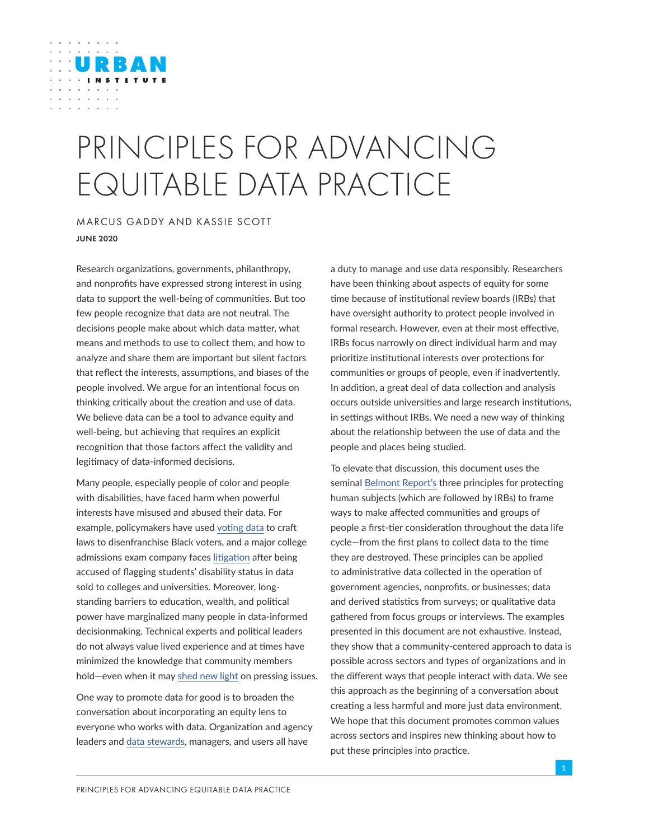# PRINCIPLES FOR ADVANCING EQUITABLE DATA PRACTICE

## MARCUS GADDY AND KASSIE SCOTT JUNE 2020

URBAN

Research organizations, governments, philanthropy, and nonprofits have expressed strong interest in using data to support the well-being of communities. But too few people recognize that data are not neutral. The decisions people make about which data matter, what means and methods to use to collect them, and how to analyze and share them are important but silent factors that reflect the interests, assumptions, and biases of the people involved. We argue for an intentional focus on thinking critically about the creation and use of data. We believe data can be a tool to advance equity and well-being, but achieving that requires an explicit recognition that those factors affect the validity and legitimacy of data-informed decisions.

Many people, especially people of color and people with disabilities, have faced harm when powerful interests have misused and abused their data. For example, policymakers have used [voting data](https://www.pbs.org/wgbh/frontline/article/court-north-carolina-voter-id-law-targeted-black-voters/) to craft laws to disenfranchise Black voters, and a major college admissions exam company faces [litigation](http://blogs.edweek.org/edweek/high_school_and_beyond/2018/08/students_with_disabilities_sue_act_over_release_of_personal_information.html) after being accused of flagging students' disability status in data sold to colleges and universities. Moreover, longstanding barriers to education, wealth, and political power have marginalized many people in data-informed decisionmaking. Technical experts and political leaders do not always value lived experience and at times have minimized the knowledge that community members hold—even when it may [shed new light](https://shelterforce.org/2019/02/19/why-voters-havent-been-buying-the-case-for-building/) on pressing issues.

One way to promote data for good is to broaden the conversation about incorporating an equity lens to everyone who works with data. Organization and agency leaders and [data stewards](https://blogs.lse.ac.uk/impactofsocialsciences/2019/04/30/becoming-a-data-steward/), managers, and users all have

a duty to manage and use data responsibly. Researchers have been thinking about aspects of equity for some time because of institutional review boards (IRBs) that have oversight authority to protect people involved in formal research. However, even at their most effective, IRBs focus narrowly on direct individual harm and may prioritize institutional interests over protections for communities or groups of people, even if inadvertently. In addition, a great deal of data collection and analysis occurs outside universities and large research institutions, in settings without IRBs. We need a new way of thinking about the relationship between the use of data and the people and places being studied.

To elevate that discussion, this document uses the seminal [Belmont Report's](https://www.hhs.gov/ohrp/regulations-and-policy/belmont-report/read-the-belmont-report/index.html#xrespect) three principles for protecting human subjects (which are followed by IRBs) to frame ways to make affected communities and groups of people a first-tier consideration throughout the data life cycle—from the first plans to collect data to the time they are destroyed. These principles can be applied to administrative data collected in the operation of government agencies, nonprofits, or businesses; data and derived statistics from surveys; or qualitative data gathered from focus groups or interviews. The examples presented in this document are not exhaustive. Instead, they show that a community-centered approach to data is possible across sectors and types of organizations and in the different ways that people interact with data. We see this approach as the beginning of a conversation about creating a less harmful and more just data environment. We hope that this document promotes common values across sectors and inspires new thinking about how to put these principles into practice.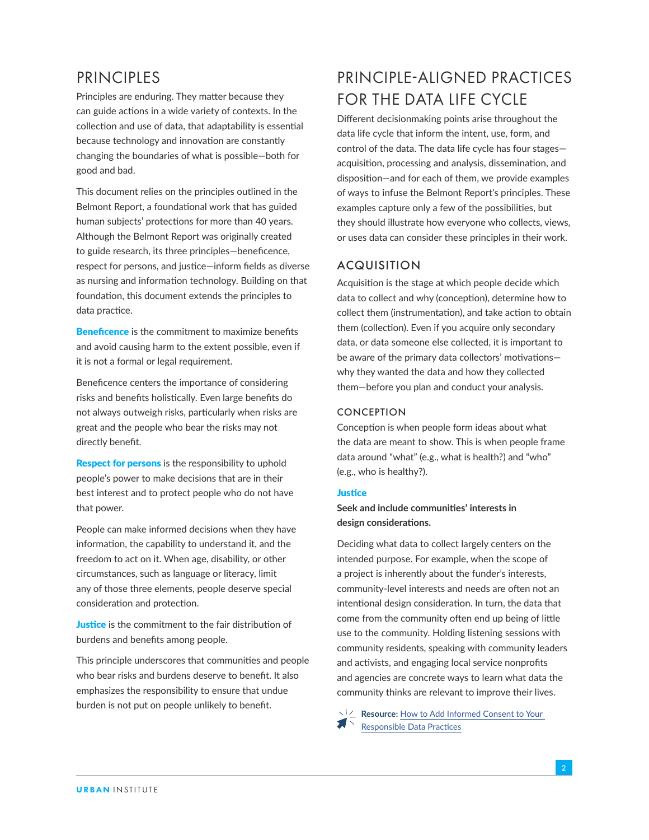# **PRINCIPLES**

Principles are enduring. They matter because they can guide actions in a wide variety of contexts. In the collection and use of data, that adaptability is essential because technology and innovation are constantly changing the boundaries of what is possible—both for good and bad.

This document relies on the principles outlined in the Belmont Report, a foundational work that has guided human subjects' protections for more than 40 years. Although the Belmont Report was originally created to guide research, its three principles—beneficence, respect for persons, and justice—inform fields as diverse as nursing and information technology. Building on that foundation, this document extends the principles to data practice.

**Beneficence** is the commitment to maximize benefits and avoid causing harm to the extent possible, even if it is not a formal or legal requirement.

Beneficence centers the importance of considering risks and benefits holistically. Even large benefits do not always outweigh risks, particularly when risks are great and the people who bear the risks may not directly benefit.

**Respect for persons** is the responsibility to uphold people's power to make decisions that are in their best interest and to protect people who do not have that power.

People can make informed decisions when they have information, the capability to understand it, and the freedom to act on it. When age, disability, or other circumstances, such as language or literacy, limit any of those three elements, people deserve special consideration and protection.

**Justice** is the commitment to the fair distribution of burdens and benefits among people.

This principle underscores that communities and people who bear risks and burdens deserve to benefit. It also emphasizes the responsibility to ensure that undue burden is not put on people unlikely to benefit.

# PRINCIPI F-ALIGNED PRACTICES FOR THE DATA LIFE CYCLE

Different decisionmaking points arise throughout the data life cycle that inform the intent, use, form, and control of the data. The data life cycle has four stages acquisition, processing and analysis, dissemination, and disposition—and for each of them, we provide examples of ways to infuse the Belmont Report's principles. These examples capture only a few of the possibilities, but they should illustrate how everyone who collects, views, or uses data can consider these principles in their work.

## ACQUISITION

Acquisition is the stage at which people decide which data to collect and why (conception), determine how to collect them (instrumentation), and take action to obtain them (collection). Even if you acquire only secondary data, or data someone else collected, it is important to be aware of the primary data collectors' motivations why they wanted the data and how they collected them—before you plan and conduct your analysis.

## CONCEPTION

Conception is when people form ideas about what the data are meant to show. This is when people frame data around "what" (e.g., what is health?) and "who" (e.g., who is healthy?).

### **Justice**

## **Seek and include communities' interests in design considerations.**

Deciding what data to collect largely centers on the intended purpose. For example, when the scope of a project is inherently about the funder's interests, community-level interests and needs are often not an intentional design consideration. In turn, the data that come from the community often end up being of little use to the community. Holding listening sessions with community residents, speaking with community leaders and activists, and engaging local service nonprofits and agencies are concrete ways to learn what data the community thinks are relevant to improve their lives.

**Resource:** How to Add Informed Consent to Your  $\blacktriangleright$  [Responsible Data Practices](https://www.ictworks.org/informed-consent-responsible-data/)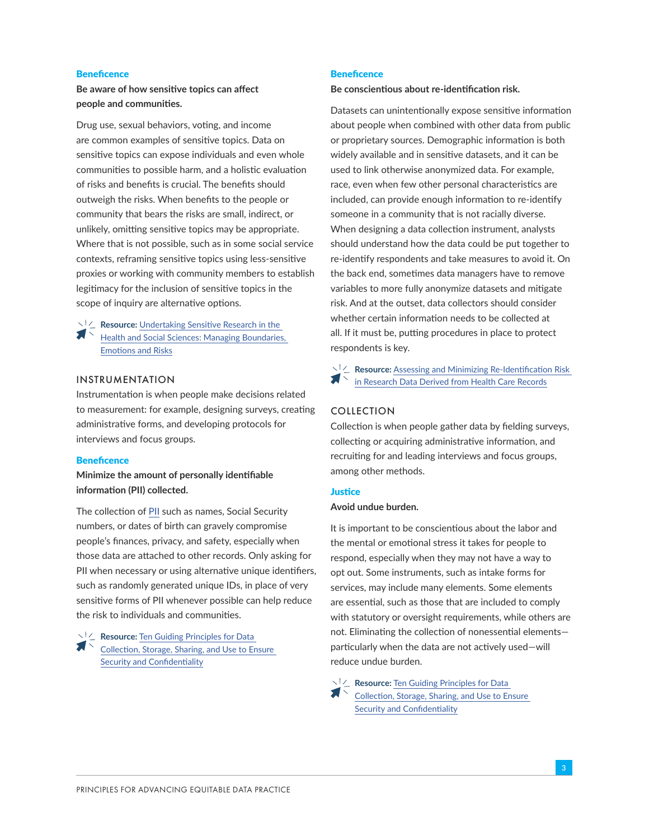#### **Beneficence**

## **Be aware of how sensitive topics can affect people and communities.**

Drug use, sexual behaviors, voting, and income are common examples of sensitive topics. Data on sensitive topics can expose individuals and even whole communities to possible harm, and a holistic evaluation of risks and benefits is crucial. The benefits should outweigh the risks. When benefits to the people or community that bears the risks are small, indirect, or unlikely, omitting sensitive topics may be appropriate. Where that is not possible, such as in some social service contexts, reframing sensitive topics using less-sensitive proxies or working with community members to establish legitimacy for the inclusion of sensitive topics in the scope of inquiry are alternative options.

 $\vee^{\dagger}$  **Resource:** Undertaking Sensitive Research in the  $\blacksquare$ [Health and Social Sciences: Managing Boundaries,](http://assets.cambridge.org/97805217/18233/excerpt/9780521718233_excerpt.pdf)  [Emotions and Risks](http://assets.cambridge.org/97805217/18233/excerpt/9780521718233_excerpt.pdf)

#### INSTRUMENTATION

Instrumentation is when people make decisions related to measurement: for example, designing surveys, creating administrative forms, and developing protocols for interviews and focus groups.

#### **Beneficence**

## **Minimize the amount of personally identifiable information (PII) collected.**

The collection of [PII](http://www.osec.doc.gov/opog/privacy/PII_BII.html) such as names, Social Security numbers, or dates of birth can gravely compromise people's finances, privacy, and safety, especially when those data are attached to other records. Only asking for PII when necessary or using alternative unique identifiers, such as randomly generated unique IDs, in place of very sensitive forms of PII whenever possible can help reduce the risk to individuals and communities.

**Resource:** Ten Guiding Principles for Data [Collection, Storage, Sharing, and Use to Ensure](https://www.cdc.gov/nchhstp/programintegration/tenguidingprinciples.htm)  [Security and Confidentiality](https://www.cdc.gov/nchhstp/programintegration/tenguidingprinciples.htm)

#### **Beneficence**

**Be conscientious about re-identification risk.**

Datasets can unintentionally expose sensitive information about people when combined with other data from public or proprietary sources. Demographic information is both widely available and in sensitive datasets, and it can be used to link otherwise anonymized data. For example, race, even when few other personal characteristics are included, can provide enough information to re-identify someone in a community that is not racially diverse. When designing a data collection instrument, analysts should understand how the data could be put together to re-identify respondents and take measures to avoid it. On the back end, sometimes data managers have to remove variables to more fully anonymize datasets and mitigate risk. And at the outset, data collectors should consider whether certain information needs to be collected at all. If it must be, putting procedures in place to protect respondents is key.

**Resource:** Assessing and Minimizing Re-Identification Risk [in Research Data Derived from Health Care Records](https://www.ncbi.nlm.nih.gov/pmc/articles/PMC6450246/)

#### COLLECTION

Collection is when people gather data by fielding surveys, collecting or acquiring administrative information, and recruiting for and leading interviews and focus groups, among other methods.

#### **Justice**

## **Avoid undue burden.**

It is important to be conscientious about the labor and the mental or emotional stress it takes for people to respond, especially when they may not have a way to opt out. Some instruments, such as intake forms for services, may include many elements. Some elements are essential, such as those that are included to comply with statutory or oversight requirements, while others are not. Eliminating the collection of nonessential elements particularly when the data are not actively used—will reduce undue burden.

**Resource:** Ten Guiding Principles for Data [Collection, Storage, Sharing, and Use to Ensure](https://www.cdc.gov/nchhstp/programintegration/tenguidingprinciples.htm)  [Security and Confidentiality](https://www.cdc.gov/nchhstp/programintegration/tenguidingprinciples.htm)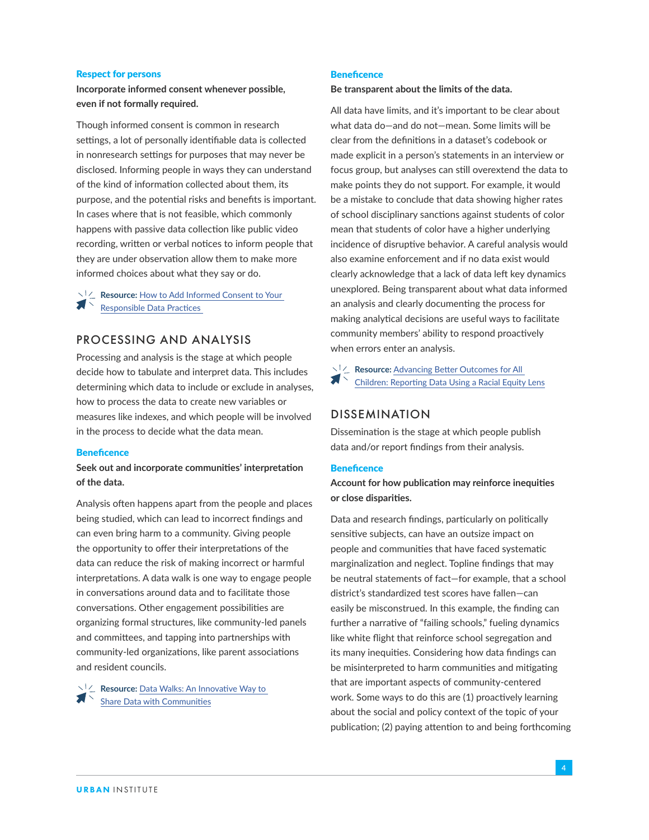#### Respect for persons

## **Incorporate informed consent whenever possible, even if not formally required.**

Though informed consent is common in research settings, a lot of personally identifiable data is collected in nonresearch settings for purposes that may never be disclosed. Informing people in ways they can understand of the kind of information collected about them, its purpose, and the potential risks and benefits is important. In cases where that is not feasible, which commonly happens with passive data collection like public video recording, written or verbal notices to inform people that they are under observation allow them to make more informed choices about what they say or do.

**Resource:** How to Add Informed Consent to Your [Responsible Data Practices](https://www.ictworks.org/informed-consent-responsible-data/#.XodnPdNKjOR) 

## PROCESSING AND ANALYSIS

Processing and analysis is the stage at which people decide how to tabulate and interpret data. This includes determining which data to include or exclude in analyses, how to process the data to create new variables or measures like indexes, and which people will be involved in the process to decide what the data mean.

#### **Beneficence**

## **Seek out and incorporate communities' interpretation of the data.**

Analysis often happens apart from the people and places being studied, which can lead to incorrect findings and can even bring harm to a community. Giving people the opportunity to offer their interpretations of the data can reduce the risk of making incorrect or harmful interpretations. A data walk is one way to engage people in conversations around data and to facilitate those conversations. Other engagement possibilities are organizing formal structures, like community-led panels and committees, and tapping into partnerships with community-led organizations, like parent associations and resident councils.

**Resource:** Data Walks: An Innovative Way to [Share Data with Communities](https://www.urban.org/sites/default/files/publication/72906/2000510-Data-Walks-An-Innovative-Way-to-Share-Data-with-Communities.pdf)

#### **Beneficence**

**Be transparent about the limits of the data.** 

All data have limits, and it's important to be clear about what data do—and do not—mean. Some limits will be clear from the definitions in a dataset's codebook or made explicit in a person's statements in an interview or focus group, but analyses can still overextend the data to make points they do not support. For example, it would be a mistake to conclude that data showing higher rates of school disciplinary sanctions against students of color mean that students of color have a higher underlying incidence of disruptive behavior. A careful analysis would also examine enforcement and if no data exist would clearly acknowledge that a lack of data left key dynamics unexplored. Being transparent about what data informed an analysis and clearly documenting the process for making analytical decisions are useful ways to facilitate community members' ability to respond proactively when errors enter an analysis.

**Resource:** Advancing Better Outcomes for All [Children: Reporting Data Using a Racial Equity Lens](https://www.aecf.org/resources/more-race-matters-occasional-updates-3/)

## DISSEMINATION

Dissemination is the stage at which people publish data and/or report findings from their analysis.

#### **Beneficence**

**Account for how publication may reinforce inequities or close disparities.**

Data and research findings, particularly on politically sensitive subjects, can have an outsize impact on people and communities that have faced systematic marginalization and neglect. Topline findings that may be neutral statements of fact—for example, that a school district's standardized test scores have fallen—can easily be misconstrued. In this example, the finding can further a narrative of "failing schools," fueling dynamics like white flight that reinforce school segregation and its many inequities. Considering how data findings can be misinterpreted to harm communities and mitigating that are important aspects of community-centered work. Some ways to do this are (1) proactively learning about the social and policy context of the topic of your publication; (2) paying attention to and being forthcoming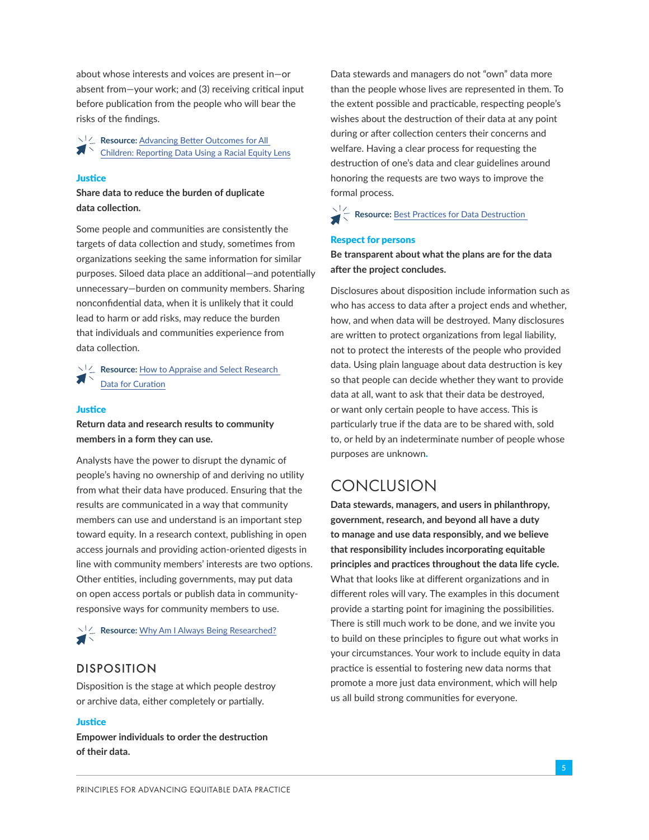about whose interests and voices are present in—or absent from—your work; and (3) receiving critical input before publication from the people who will bear the risks of the findings.

**Resource:** Advancing Better Outcomes for All  $\blacksquare$ [Children: Reporting Data Using a Racial Equity Lens](https://www.aecf.org/resources/more-race-matters-occasional-updates-3/)

#### **Justice**

## **Share data to reduce the burden of duplicate data collection.**

Some people and communities are consistently the targets of data collection and study, sometimes from organizations seeking the same information for similar purposes. Siloed data place an additional—and potentially unnecessary—burden on community members. Sharing nonconfidential data, when it is unlikely that it could lead to harm or add risks, may reduce the burden that individuals and communities experience from data collection.

**Resource:** How to Appraise and Select Research [Data for Cu](http://www.dcc.ac.uk/resources/how-guides/appraise-select-data)ration

#### **Justice**

**Return data and research results to community members in a form they can use.** 

Analysts have the power to disrupt the dynamic of people's having no ownership of and deriving no utility from what their data have produced. Ensuring that the results are communicated in a way that community members can use and understand is an important step toward equity. In a research context, publishing in open access journals and providing action-oriented digests in line with community members' interests are two options. Other entities, including governments, may put data on open access portals or publish data in communityresponsive ways for community members to use.

**Example 2 Resource:** [Why Am I Always Being Researched?](https://chicagobeyond.org/researchequity/)

## DISPOSITION

Disposition is the stage at which people destroy or archive data, either completely or partially.

#### **Justice**

**Empower individuals to order the destruction of their data.**

Data stewards and managers do not "own" data more than the people whose lives are represented in them. To the extent possible and practicable, respecting people's wishes about the destruction of their data at any point during or after collection centers their concerns and welfare. Having a clear process for requesting the destruction of one's data and clear guidelines around honoring the requests are two ways to improve the formal process.

**Resource:** Best Practices for Data Destruction

#### Respect for persons

## **Be transparent about what the plans are for the data after the project concludes.**

Disclosures about disposition include information such as who has access to data after a project ends and whether, how, and when data will be destroyed. Many disclosures are written to protect organizations from legal liability, not to protect the interests of the people who provided data. Using plain language about data destruction is key so that people can decide whether they want to provide data at all, want to ask that their data be destroyed, or want only certain people to have access. This is particularly true if the data are to be shared with, sold to, or held by an indeterminate number of people whose purposes are unknown.

## **CONCLUSION**

**Data stewards, managers, and users in philanthropy, government, research, and beyond all have a duty to manage and use data responsibly, and we believe that responsibility includes incorporating equitable principles and practices throughout the data life cycle.** What that looks like at different organizations and in different roles will vary. The examples in this document provide a starting point for imagining the possibilities. There is still much work to be done, and we invite you to build on these principles to figure out what works in your circumstances. Your work to include equity in data practice is essential to fostering new data norms that promote a more just data environment, which will help us all build strong communities for everyone.